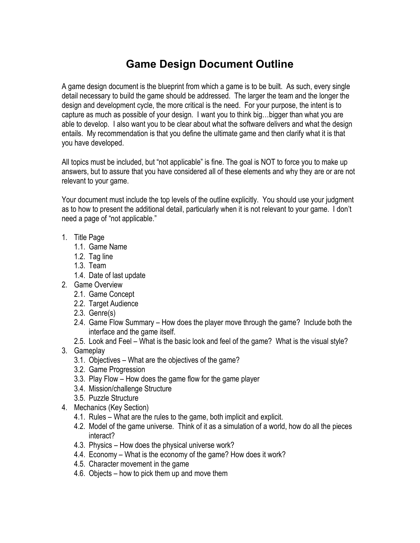## **Game Design Document Outline**

A game design document is the blueprint from which a game is to be built. As such, every single detail necessary to build the game should be addressed. The larger the team and the longer the design and development cycle, the more critical is the need. For your purpose, the intent is to capture as much as possible of your design. I want you to think big…bigger than what you are able to develop. I also want you to be clear about what the software delivers and what the design entails. My recommendation is that you define the ultimate game and then clarify what it is that you have developed.

All topics must be included, but "not applicable" is fine. The goal is NOT to force you to make up answers, but to assure that you have considered all of these elements and why they are or are not relevant to your game.

Your document must include the top levels of the outline explicitly. You should use your judgment as to how to present the additional detail, particularly when it is not relevant to your game. I don't need a page of "not applicable."

- 1. Title Page
	- 1.1. Game Name
	- 1.2. Tag line
	- 1.3. Team
	- 1.4. Date of last update
- 2. Game Overview
	- 2.1. Game Concept
	- 2.2. Target Audience
	- 2.3. Genre(s)
	- 2.4. Game Flow Summary How does the player move through the game? Include both the interface and the game itself.
	- 2.5. Look and Feel What is the basic look and feel of the game? What is the visual style?
- 3. Gameplay
	- 3.1. Objectives What are the objectives of the game?
	- 3.2. Game Progression
	- 3.3. Play Flow How does the game flow for the game player
	- 3.4. Mission/challenge Structure
	- 3.5. Puzzle Structure
- 4. Mechanics (Key Section)
	- 4.1. Rules What are the rules to the game, both implicit and explicit.
	- 4.2. Model of the game universe. Think of it as a simulation of a world, how do all the pieces interact?
	- 4.3. Physics How does the physical universe work?
	- 4.4. Economy What is the economy of the game? How does it work?
	- 4.5. Character movement in the game
	- 4.6. Objects how to pick them up and move them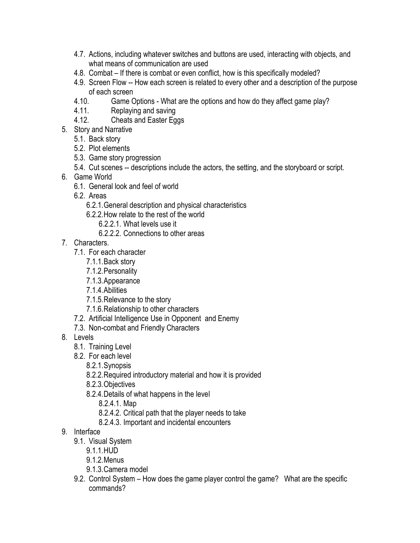- 4.7. Actions, including whatever switches and buttons are used, interacting with objects, and what means of communication are used
- 4.8. Combat If there is combat or even conflict, how is this specifically modeled?
- 4.9. Screen Flow -- How each screen is related to every other and a description of the purpose of each screen
- 4.10. Game Options What are the options and how do they affect game play?
- 4.11. Replaying and saving
- 4.12. Cheats and Easter Eggs
- 5. Story and Narrative
	- 5.1. Back story
	- 5.2. Plot elements
	- 5.3. Game story progression
	- 5.4. Cut scenes -- descriptions include the actors, the setting, and the storyboard or script.
- 6. Game World
	- 6.1. General look and feel of world
	- 6.2. Areas
		- 6.2.1.General description and physical characteristics
		- 6.2.2.How relate to the rest of the world
			- 6.2.2.1. What levels use it
			- 6.2.2.2. Connections to other areas
- 7. Characters.
	- 7.1. For each character
		- 7.1.1.Back story
		- 7.1.2.Personality
		- 7.1.3.Appearance
		- 7.1.4.Abilities
		- 7.1.5.Relevance to the story
		- 7.1.6.Relationship to other characters
	- 7.2. Artificial Intelligence Use in Opponent and Enemy
	- 7.3. Non-combat and Friendly Characters
- 8. Levels
	- 8.1. Training Level
	- 8.2. For each level
		- 8.2.1.Synopsis
		- 8.2.2.Required introductory material and how it is provided
		- 8.2.3.Objectives
		- 8.2.4.Details of what happens in the level
			- 8.2.4.1. Map
			- 8.2.4.2. Critical path that the player needs to take
			- 8.2.4.3. Important and incidental encounters
- 9. Interface
	- 9.1. Visual System
		- 9.1.1.HUD
		- 9.1.2.Menus
		- 9.1.3.Camera model
	- 9.2. Control System How does the game player control the game? What are the specific commands?